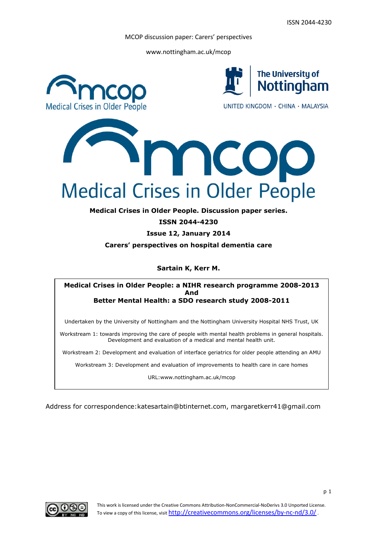www.nottingham.ac.uk/mcop



**Medical Crises in Older People. Discussion paper series.**

**ISSN 2044-4230**

**Issue 12, January 2014**

**Carers' perspectives on hospital dementia care**

# **Sartain K, Kerr M.**

### **Medical Crises in Older People: a NIHR research programme 2008-2013 And Better Mental Health: a SDO research study 2008-2011**

Undertaken by the University of Nottingham and the Nottingham University Hospital NHS Trust, UK

Workstream 1: towards improving the care of people with mental health problems in general hospitals. Development and evaluation of a medical and mental health unit.

Workstream 2: Development and evaluation of interface geriatrics for older people attending an AMU

Workstream 3: Development and evaluation of improvements to health care in care homes

URL:www.nottingham.ac.uk/mcop

Address for correspondence:katesartain@btinternet.com, margaretkerr41@gmail.com

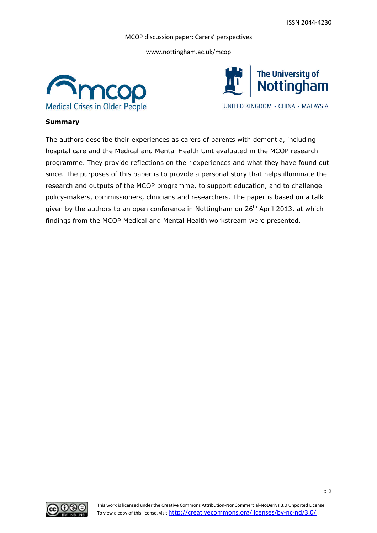www.nottingham.ac.uk/mcop





## **Summary**

The authors describe their experiences as carers of parents with dementia, including hospital care and the Medical and Mental Health Unit evaluated in the MCOP research programme. They provide reflections on their experiences and what they have found out since. The purposes of this paper is to provide a personal story that helps illuminate the research and outputs of the MCOP programme, to support education, and to challenge policy-makers, commissioners, clinicians and researchers. The paper is based on a talk given by the authors to an open conference in Nottingham on  $26<sup>th</sup>$  April 2013, at which findings from the MCOP Medical and Mental Health workstream were presented.

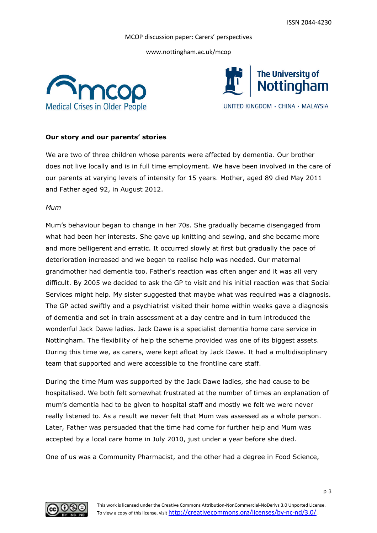www.nottingham.ac.uk/mcop





## **Our story and our parents' stories**

We are two of three children whose parents were affected by dementia. Our brother does not live locally and is in full time employment. We have been involved in the care of our parents at varying levels of intensity for 15 years. Mother, aged 89 died May 2011 and Father aged 92, in August 2012.

#### *Mum*

Mum's behaviour began to change in her 70s. She gradually became disengaged from what had been her interests. She gave up knitting and sewing, and she became more and more belligerent and erratic. It occurred slowly at first but gradually the pace of deterioration increased and we began to realise help was needed. Our maternal grandmother had dementia too. Father's reaction was often anger and it was all very difficult. By 2005 we decided to ask the GP to visit and his initial reaction was that Social Services might help. My sister suggested that maybe what was required was a diagnosis. The GP acted swiftly and a psychiatrist visited their home within weeks gave a diagnosis of dementia and set in train assessment at a day centre and in turn introduced the wonderful Jack Dawe ladies. Jack Dawe is a specialist dementia home care service in Nottingham. The flexibility of help the scheme provided was one of its biggest assets. During this time we, as carers, were kept afloat by Jack Dawe. It had a multidisciplinary team that supported and were accessible to the frontline care staff.

During the time Mum was supported by the Jack Dawe ladies, she had cause to be hospitalised. We both felt somewhat frustrated at the number of times an explanation of mum's dementia had to be given to hospital staff and mostly we felt we were never really listened to. As a result we never felt that Mum was assessed as a whole person. Later, Father was persuaded that the time had come for further help and Mum was accepted by a local care home in July 2010, just under a year before she died.

One of us was a Community Pharmacist, and the other had a degree in Food Science,

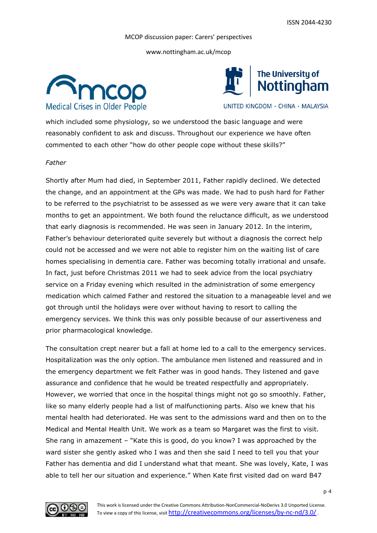www.nottingham.ac.uk/mcop





UNITED KINGDOM · CHINA · MALAYSIA

which included some physiology, so we understood the basic language and were reasonably confident to ask and discuss. Throughout our experience we have often commented to each other "how do other people cope without these skills?"

# *Father*

Shortly after Mum had died, in September 2011, Father rapidly declined. We detected the change, and an appointment at the GPs was made. We had to push hard for Father to be referred to the psychiatrist to be assessed as we were very aware that it can take months to get an appointment. We both found the reluctance difficult, as we understood that early diagnosis is recommended. He was seen in January 2012. In the interim, Father's behaviour deteriorated quite severely but without a diagnosis the correct help could not be accessed and we were not able to register him on the waiting list of care homes specialising in dementia care. Father was becoming totally irrational and unsafe. In fact, just before Christmas 2011 we had to seek advice from the local psychiatry service on a Friday evening which resulted in the administration of some emergency medication which calmed Father and restored the situation to a manageable level and we got through until the holidays were over without having to resort to calling the emergency services. We think this was only possible because of our assertiveness and prior pharmacological knowledge.

The consultation crept nearer but a fall at home led to a call to the emergency services. Hospitalization was the only option. The ambulance men listened and reassured and in the emergency department we felt Father was in good hands. They listened and gave assurance and confidence that he would be treated respectfully and appropriately. However, we worried that once in the hospital things might not go so smoothly. Father, like so many elderly people had a list of malfunctioning parts. Also we knew that his mental health had deteriorated. He was sent to the admissions ward and then on to the Medical and Mental Health Unit. We work as a team so Margaret was the first to visit. She rang in amazement – "Kate this is good, do you know? I was approached by the ward sister she gently asked who I was and then she said I need to tell you that your Father has dementia and did I understand what that meant. She was lovely, Kate, I was able to tell her our situation and experience." When Kate first visited dad on ward B47

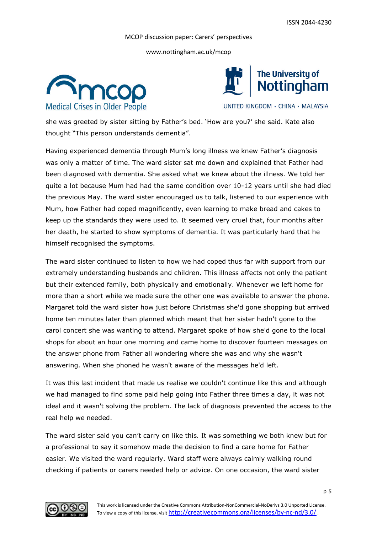www.nottingham.ac.uk/mcop





UNITED KINGDOM · CHINA · MALAYSIA

she was greeted by sister sitting by Father's bed. 'How are you?' she said. Kate also thought "This person understands dementia".

Having experienced dementia through Mum's long illness we knew Father's diagnosis was only a matter of time. The ward sister sat me down and explained that Father had been diagnosed with dementia. She asked what we knew about the illness. We told her quite a lot because Mum had had the same condition over 10-12 years until she had died the previous May. The ward sister encouraged us to talk, listened to our experience with Mum, how Father had coped magnificently, even learning to make bread and cakes to keep up the standards they were used to. It seemed very cruel that, four months after her death, he started to show symptoms of dementia. It was particularly hard that he himself recognised the symptoms.

The ward sister continued to listen to how we had coped thus far with support from our extremely understanding husbands and children. This illness affects not only the patient but their extended family, both physically and emotionally. Whenever we left home for more than a short while we made sure the other one was available to answer the phone. Margaret told the ward sister how just before Christmas she'd gone shopping but arrived home ten minutes later than planned which meant that her sister hadn't gone to the carol concert she was wanting to attend. Margaret spoke of how she'd gone to the local shops for about an hour one morning and came home to discover fourteen messages on the answer phone from Father all wondering where she was and why she wasn't answering. When she phoned he wasn't aware of the messages he'd left.

It was this last incident that made us realise we couldn't continue like this and although we had managed to find some paid help going into Father three times a day, it was not ideal and it wasn't solving the problem. The lack of diagnosis prevented the access to the real help we needed.

The ward sister said you can't carry on like this. It was something we both knew but for a professional to say it somehow made the decision to find a care home for Father easier. We visited the ward regularly. Ward staff were always calmly walking round checking if patients or carers needed help or advice. On one occasion, the ward sister

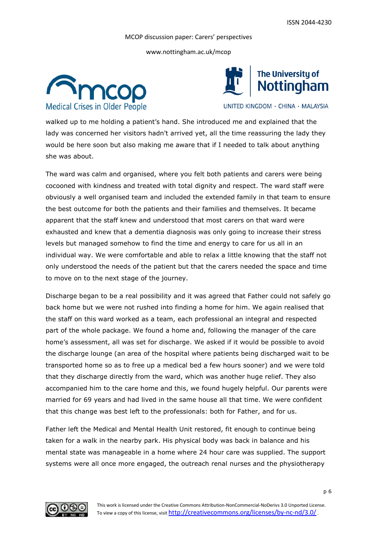www.nottingham.ac.uk/mcop





UNITED KINGDOM · CHINA · MALAYSIA

walked up to me holding a patient's hand. She introduced me and explained that the lady was concerned her visitors hadn't arrived yet, all the time reassuring the lady they would be here soon but also making me aware that if I needed to talk about anything she was about.

The ward was calm and organised, where you felt both patients and carers were being cocooned with kindness and treated with total dignity and respect. The ward staff were obviously a well organised team and included the extended family in that team to ensure the best outcome for both the patients and their families and themselves. It became apparent that the staff knew and understood that most carers on that ward were exhausted and knew that a dementia diagnosis was only going to increase their stress levels but managed somehow to find the time and energy to care for us all in an individual way. We were comfortable and able to relax a little knowing that the staff not only understood the needs of the patient but that the carers needed the space and time to move on to the next stage of the journey.

Discharge began to be a real possibility and it was agreed that Father could not safely go back home but we were not rushed into finding a home for him. We again realised that the staff on this ward worked as a team, each professional an integral and respected part of the whole package. We found a home and, following the manager of the care home's assessment, all was set for discharge. We asked if it would be possible to avoid the discharge lounge (an area of the hospital where patients being discharged wait to be transported home so as to free up a medical bed a few hours sooner) and we were told that they discharge directly from the ward, which was another huge relief. They also accompanied him to the care home and this, we found hugely helpful. Our parents were married for 69 years and had lived in the same house all that time. We were confident that this change was best left to the professionals: both for Father, and for us.

Father left the Medical and Mental Health Unit restored, fit enough to continue being taken for a walk in the nearby park. His physical body was back in balance and his mental state was manageable in a home where 24 hour care was supplied. The support systems were all once more engaged, the outreach renal nurses and the physiotherapy

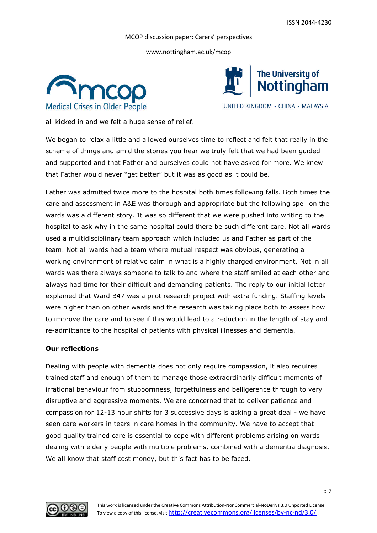www.nottingham.ac.uk/mcop





UNITED KINGDOM · CHINA · MALAYSIA

all kicked in and we felt a huge sense of relief.

We began to relax a little and allowed ourselves time to reflect and felt that really in the scheme of things and amid the stories you hear we truly felt that we had been guided and supported and that Father and ourselves could not have asked for more. We knew that Father would never "get better" but it was as good as it could be.

Father was admitted twice more to the hospital both times following falls. Both times the care and assessment in A&E was thorough and appropriate but the following spell on the wards was a different story. It was so different that we were pushed into writing to the hospital to ask why in the same hospital could there be such different care. Not all wards used a multidisciplinary team approach which included us and Father as part of the team. Not all wards had a team where mutual respect was obvious, generating a working environment of relative calm in what is a highly charged environment. Not in all wards was there always someone to talk to and where the staff smiled at each other and always had time for their difficult and demanding patients. The reply to our initial letter explained that Ward B47 was a pilot research project with extra funding. Staffing levels were higher than on other wards and the research was taking place both to assess how to improve the care and to see if this would lead to a reduction in the length of stay and re-admittance to the hospital of patients with physical illnesses and dementia.

## **Our reflections**

Dealing with people with dementia does not only require compassion, it also requires trained staff and enough of them to manage those extraordinarily difficult moments of irrational behaviour from stubbornness, forgetfulness and belligerence through to very disruptive and aggressive moments. We are concerned that to deliver patience and compassion for 12-13 hour shifts for 3 successive days is asking a great deal - we have seen care workers in tears in care homes in the community. We have to accept that good quality trained care is essential to cope with different problems arising on wards dealing with elderly people with multiple problems, combined with a dementia diagnosis. We all know that staff cost money, but this fact has to be faced.

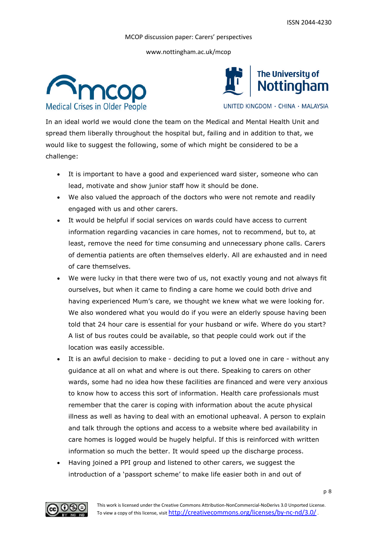www.nottingham.ac.uk/mcop





UNITED KINGDOM · CHINA · MALAYSIA

In an ideal world we would clone the team on the Medical and Mental Health Unit and spread them liberally throughout the hospital but, failing and in addition to that, we would like to suggest the following, some of which might be considered to be a challenge:

- It is important to have a good and experienced ward sister, someone who can lead, motivate and show junior staff how it should be done.
- We also valued the approach of the doctors who were not remote and readily engaged with us and other carers.
- It would be helpful if social services on wards could have access to current information regarding vacancies in care homes, not to recommend, but to, at least, remove the need for time consuming and unnecessary phone calls. Carers of dementia patients are often themselves elderly. All are exhausted and in need of care themselves.
- We were lucky in that there were two of us, not exactly young and not always fit ourselves, but when it came to finding a care home we could both drive and having experienced Mum's care, we thought we knew what we were looking for. We also wondered what you would do if you were an elderly spouse having been told that 24 hour care is essential for your husband or wife. Where do you start? A list of bus routes could be available, so that people could work out if the location was easily accessible.
- It is an awful decision to make deciding to put a loved one in care without any guidance at all on what and where is out there. Speaking to carers on other wards, some had no idea how these facilities are financed and were very anxious to know how to access this sort of information. Health care professionals must remember that the carer is coping with information about the acute physical illness as well as having to deal with an emotional upheaval. A person to explain and talk through the options and access to a website where bed availability in care homes is logged would be hugely helpful. If this is reinforced with written information so much the better. It would speed up the discharge process.
- Having joined a PPI group and listened to other carers, we suggest the introduction of a 'passport scheme' to make life easier both in and out of

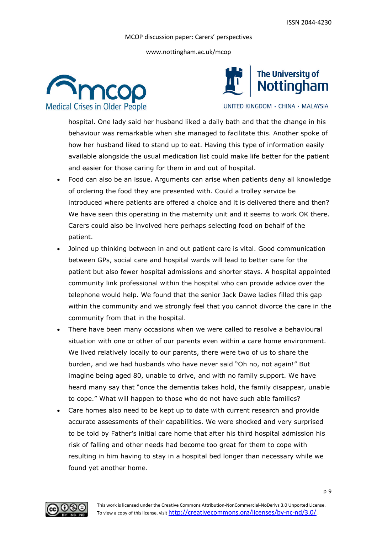www.nottingham.ac.uk/mcop





UNITED KINGDOM · CHINA · MALAYSIA

hospital. One lady said her husband liked a daily bath and that the change in his behaviour was remarkable when she managed to facilitate this. Another spoke of how her husband liked to stand up to eat. Having this type of information easily available alongside the usual medication list could make life better for the patient and easier for those caring for them in and out of hospital.

- Food can also be an issue. Arguments can arise when patients deny all knowledge of ordering the food they are presented with. Could a trolley service be introduced where patients are offered a choice and it is delivered there and then? We have seen this operating in the maternity unit and it seems to work OK there. Carers could also be involved here perhaps selecting food on behalf of the patient.
- Joined up thinking between in and out patient care is vital. Good communication between GPs, social care and hospital wards will lead to better care for the patient but also fewer hospital admissions and shorter stays. A hospital appointed community link professional within the hospital who can provide advice over the telephone would help. We found that the senior Jack Dawe ladies filled this gap within the community and we strongly feel that you cannot divorce the care in the community from that in the hospital.
- There have been many occasions when we were called to resolve a behavioural situation with one or other of our parents even within a care home environment. We lived relatively locally to our parents, there were two of us to share the burden, and we had husbands who have never said "Oh no, not again!" But imagine being aged 80, unable to drive, and with no family support. We have heard many say that "once the dementia takes hold, the family disappear, unable to cope." What will happen to those who do not have such able families?
- Care homes also need to be kept up to date with current research and provide accurate assessments of their capabilities. We were shocked and very surprised to be told by Father's initial care home that after his third hospital admission his risk of falling and other needs had become too great for them to cope with resulting in him having to stay in a hospital bed longer than necessary while we found yet another home.